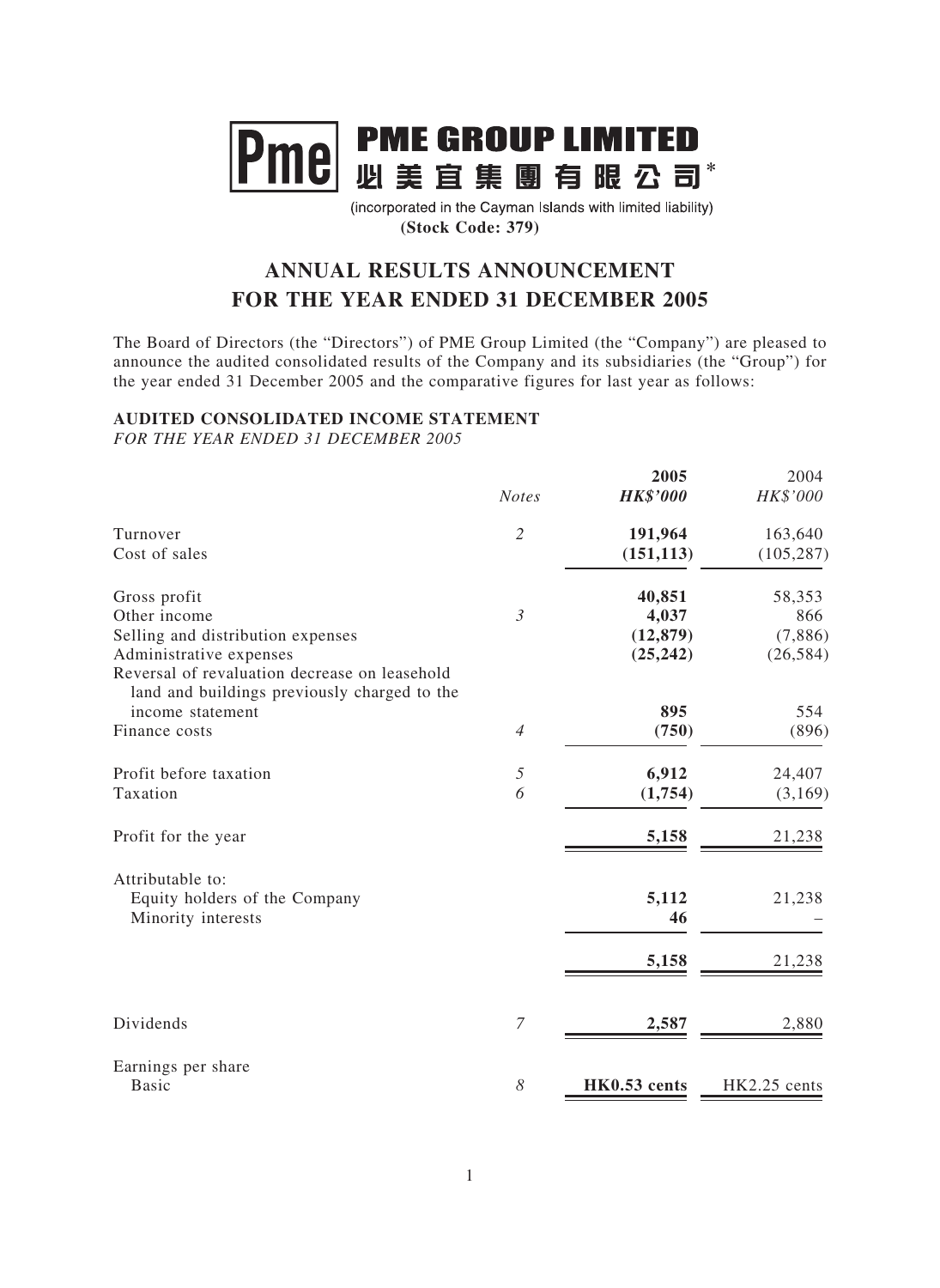

(incorporated in the Cayman Islands with limited liability) **(Stock Code: 379)**

# **ANNUAL RESULTS ANNOUNCEMENT FOR THE YEAR ENDED 31 DECEMBER 2005**

The Board of Directors (the "Directors") of PME Group Limited (the "Company") are pleased to announce the audited consolidated results of the Company and its subsidiaries (the "Group") for the year ended 31 December 2005 and the comparative figures for last year as follows:

## **AUDITED CONSOLIDATED INCOME STATEMENT**

*FOR THE YEAR ENDED 31 DECEMBER 2005*

|                                                                                                                                               | <b>Notes</b>   | 2005<br><b>HK\$'000</b>                   | 2004<br>HK\$'000                      |
|-----------------------------------------------------------------------------------------------------------------------------------------------|----------------|-------------------------------------------|---------------------------------------|
| Turnover<br>Cost of sales                                                                                                                     | $\overline{2}$ | 191,964<br>(151, 113)                     | 163,640<br>(105, 287)                 |
| Gross profit<br>Other income<br>Selling and distribution expenses<br>Administrative expenses<br>Reversal of revaluation decrease on leasehold | $\mathfrak{Z}$ | 40,851<br>4,037<br>(12, 879)<br>(25, 242) | 58,353<br>866<br>(7,886)<br>(26, 584) |
| land and buildings previously charged to the<br>income statement<br>Finance costs                                                             | $\overline{4}$ | 895<br>(750)                              | 554<br>(896)                          |
| Profit before taxation<br>Taxation                                                                                                            | 5<br>6         | 6,912<br>(1,754)                          | 24,407<br>(3,169)                     |
| Profit for the year                                                                                                                           |                | 5,158                                     | 21,238                                |
| Attributable to:<br>Equity holders of the Company<br>Minority interests                                                                       |                | 5,112<br>46                               | 21,238                                |
|                                                                                                                                               |                | 5,158                                     | 21,238                                |
| Dividends                                                                                                                                     | $\overline{7}$ | 2,587                                     | 2,880                                 |
| Earnings per share<br><b>Basic</b>                                                                                                            | 8              | HK0.53 cents                              | HK2.25 cents                          |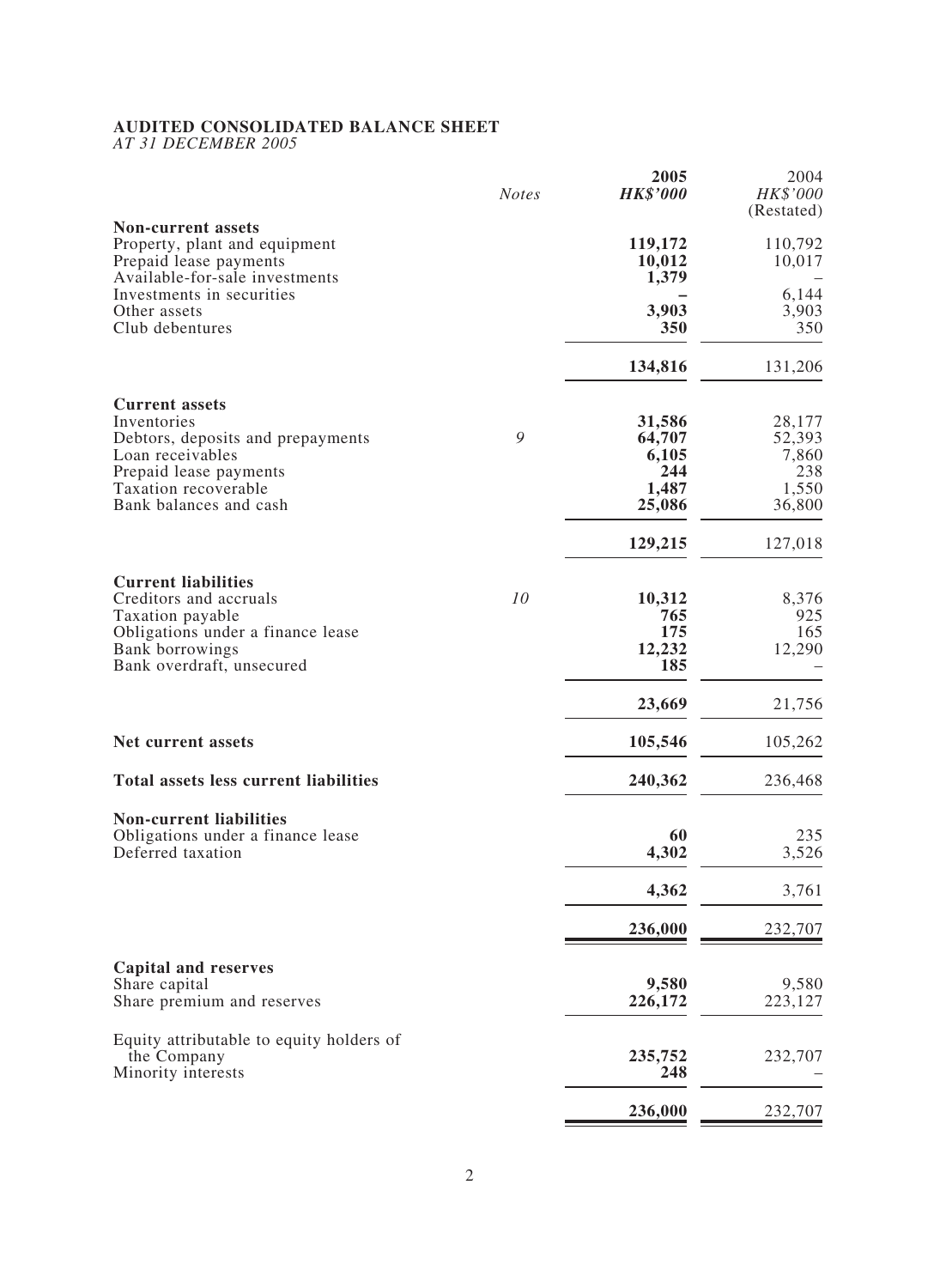### **AUDITED CONSOLIDATED BALANCE SHEET**

*AT 31 DECEMBER 2005*

|                                                                                                                        | <b>Notes</b> | 2005<br><b>HK\$'000</b>    | 2004<br>HK\$'000<br>(Restated) |
|------------------------------------------------------------------------------------------------------------------------|--------------|----------------------------|--------------------------------|
| <b>Non-current assets</b><br>Property, plant and equipment<br>Prepaid lease payments<br>Available-for-sale investments |              | 119,172<br>10,012<br>1,379 | 110,792<br>10,017              |
| Investments in securities<br>Other assets<br>Club debentures                                                           |              | 3,903<br>350               | 6,144<br>3,903<br>350          |
|                                                                                                                        |              | 134,816                    | 131,206                        |
| <b>Current assets</b><br>Inventories<br>Debtors, deposits and prepayments                                              | 9            | 31,586<br>64,707           | 28,177<br>52,393               |
| Loan receivables<br>Prepaid lease payments                                                                             |              | 6,105<br>244               | 7,860<br>238                   |
| Taxation recoverable                                                                                                   |              | 1,487                      | 1,550                          |
| Bank balances and cash                                                                                                 |              | 25,086                     | 36,800                         |
|                                                                                                                        |              | 129,215                    | 127,018                        |
| <b>Current liabilities</b><br>Creditors and accruals                                                                   | 10           | 10,312                     | 8,376                          |
| Taxation payable<br>Obligations under a finance lease                                                                  |              | 765<br>175                 | 925<br>165                     |
| Bank borrowings<br>Bank overdraft, unsecured                                                                           |              | 12,232<br>185              | 12,290                         |
|                                                                                                                        |              | 23,669                     | 21,756                         |
| Net current assets                                                                                                     |              | 105,546                    | 105,262                        |
| <b>Total assets less current liabilities</b>                                                                           |              | 240,362                    | 236,468                        |
| <b>Non-current liabilities</b><br>Obligations under a finance lease                                                    |              | 60                         | 235                            |
| Deferred taxation                                                                                                      |              | 4,302                      | 3,526                          |
|                                                                                                                        |              | 4,362                      | 3,761                          |
|                                                                                                                        |              | 236,000                    | 232,707                        |
| <b>Capital and reserves</b>                                                                                            |              |                            |                                |
| Share capital<br>Share premium and reserves                                                                            |              | 9,580<br>226,172           | 9,580<br>223,127               |
| Equity attributable to equity holders of                                                                               |              |                            |                                |
| the Company<br>Minority interests                                                                                      |              | 235,752<br>248             | 232,707                        |
|                                                                                                                        |              | 236,000                    | 232,707                        |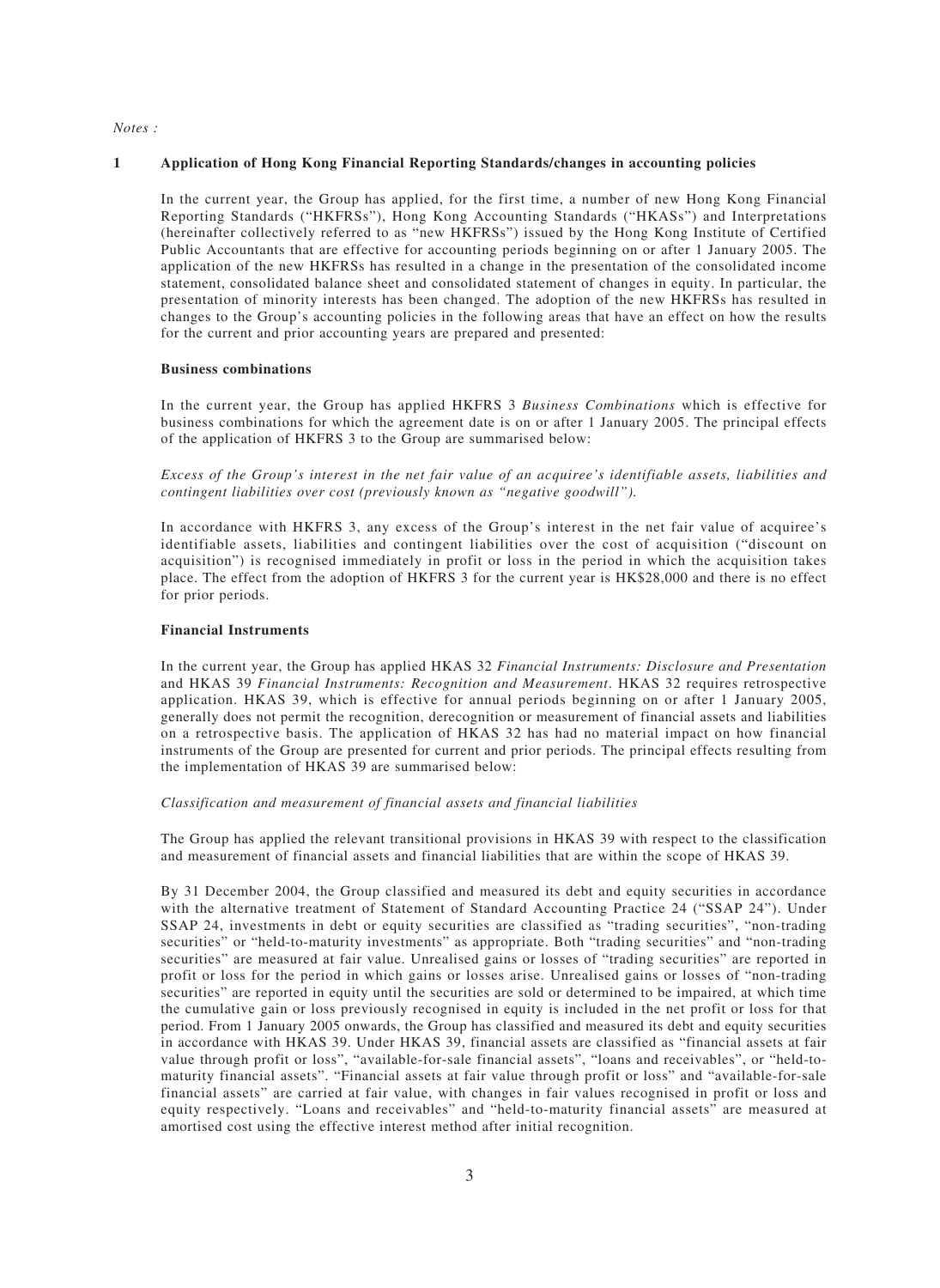#### *Notes :*

#### **1 Application of Hong Kong Financial Reporting Standards/changes in accounting policies**

In the current year, the Group has applied, for the first time, a number of new Hong Kong Financial Reporting Standards ("HKFRSs"), Hong Kong Accounting Standards ("HKASs") and Interpretations (hereinafter collectively referred to as "new HKFRSs") issued by the Hong Kong Institute of Certified Public Accountants that are effective for accounting periods beginning on or after 1 January 2005. The application of the new HKFRSs has resulted in a change in the presentation of the consolidated income statement, consolidated balance sheet and consolidated statement of changes in equity. In particular, the presentation of minority interests has been changed. The adoption of the new HKFRSs has resulted in changes to the Group's accounting policies in the following areas that have an effect on how the results for the current and prior accounting years are prepared and presented:

#### **Business combinations**

In the current year, the Group has applied HKFRS 3 *Business Combinations* which is effective for business combinations for which the agreement date is on or after 1 January 2005. The principal effects of the application of HKFRS 3 to the Group are summarised below:

*Excess of the Group's interest in the net fair value of an acquiree's identifiable assets, liabilities and contingent liabilities over cost (previously known as "negative goodwill").*

In accordance with HKFRS 3, any excess of the Group's interest in the net fair value of acquiree's identifiable assets, liabilities and contingent liabilities over the cost of acquisition ("discount on acquisition") is recognised immediately in profit or loss in the period in which the acquisition takes place. The effect from the adoption of HKFRS 3 for the current year is HK\$28,000 and there is no effect for prior periods.

#### **Financial Instruments**

In the current year, the Group has applied HKAS 32 *Financial Instruments: Disclosure and Presentation* and HKAS 39 *Financial Instruments: Recognition and Measurement*. HKAS 32 requires retrospective application. HKAS 39, which is effective for annual periods beginning on or after 1 January 2005, generally does not permit the recognition, derecognition or measurement of financial assets and liabilities on a retrospective basis. The application of HKAS 32 has had no material impact on how financial instruments of the Group are presented for current and prior periods. The principal effects resulting from the implementation of HKAS 39 are summarised below:

#### *Classification and measurement of financial assets and financial liabilities*

The Group has applied the relevant transitional provisions in HKAS 39 with respect to the classification and measurement of financial assets and financial liabilities that are within the scope of HKAS 39.

By 31 December 2004, the Group classified and measured its debt and equity securities in accordance with the alternative treatment of Statement of Standard Accounting Practice 24 ("SSAP 24"). Under SSAP 24, investments in debt or equity securities are classified as "trading securities", "non-trading securities" or "held-to-maturity investments" as appropriate. Both "trading securities" and "non-trading securities" are measured at fair value. Unrealised gains or losses of "trading securities" are reported in profit or loss for the period in which gains or losses arise. Unrealised gains or losses of "non-trading securities" are reported in equity until the securities are sold or determined to be impaired, at which time the cumulative gain or loss previously recognised in equity is included in the net profit or loss for that period. From 1 January 2005 onwards, the Group has classified and measured its debt and equity securities in accordance with HKAS 39. Under HKAS 39, financial assets are classified as "financial assets at fair value through profit or loss", "available-for-sale financial assets", "loans and receivables", or "held-tomaturity financial assets". "Financial assets at fair value through profit or loss" and "available-for-sale financial assets" are carried at fair value, with changes in fair values recognised in profit or loss and equity respectively. "Loans and receivables" and "held-to-maturity financial assets" are measured at amortised cost using the effective interest method after initial recognition.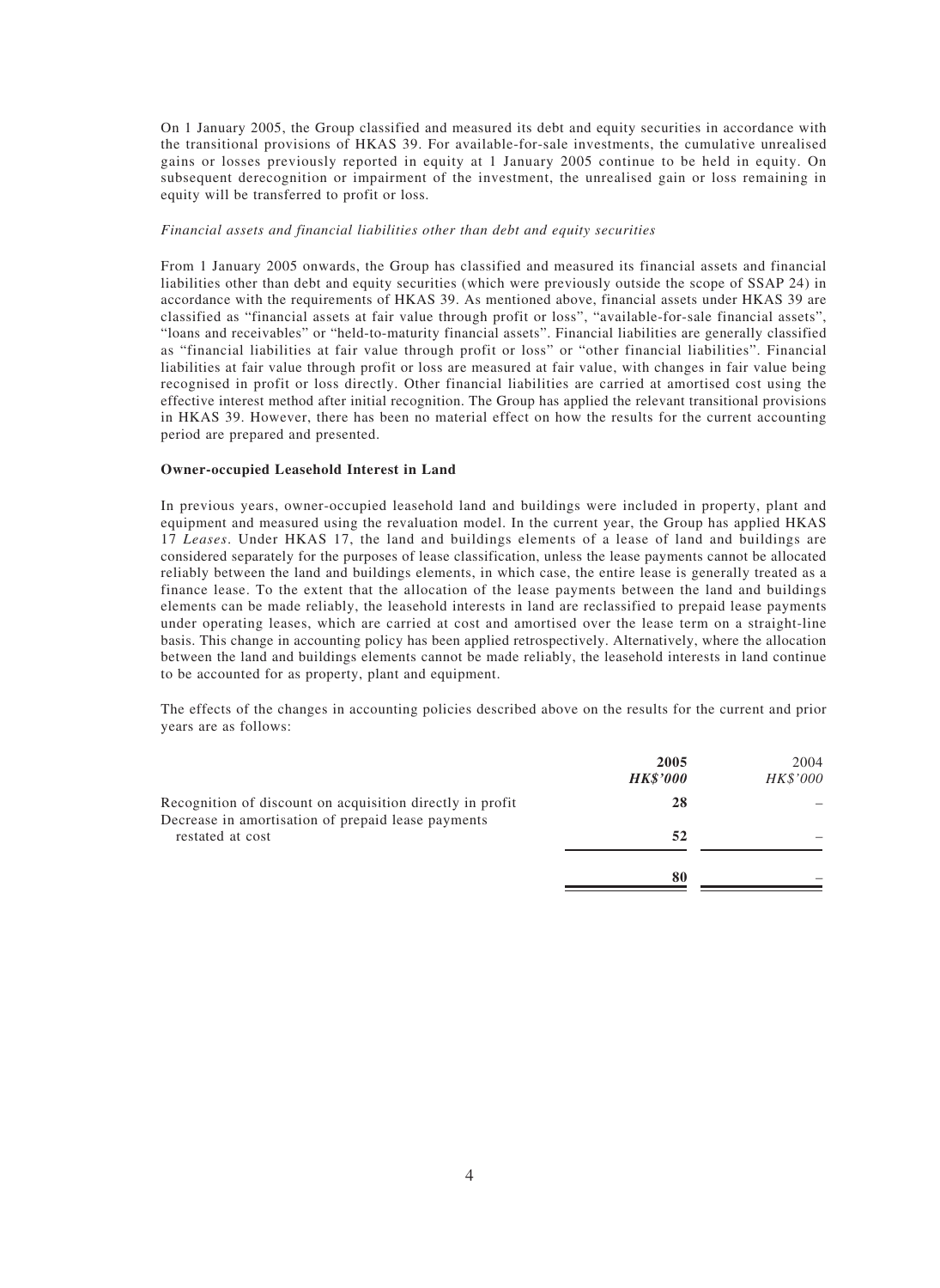On 1 January 2005, the Group classified and measured its debt and equity securities in accordance with the transitional provisions of HKAS 39. For available-for-sale investments, the cumulative unrealised gains or losses previously reported in equity at 1 January 2005 continue to be held in equity. On subsequent derecognition or impairment of the investment, the unrealised gain or loss remaining in equity will be transferred to profit or loss.

#### *Financial assets and financial liabilities other than debt and equity securities*

From 1 January 2005 onwards, the Group has classified and measured its financial assets and financial liabilities other than debt and equity securities (which were previously outside the scope of SSAP 24) in accordance with the requirements of HKAS 39. As mentioned above, financial assets under HKAS 39 are classified as "financial assets at fair value through profit or loss", "available-for-sale financial assets", "loans and receivables" or "held-to-maturity financial assets". Financial liabilities are generally classified as "financial liabilities at fair value through profit or loss" or "other financial liabilities". Financial liabilities at fair value through profit or loss are measured at fair value, with changes in fair value being recognised in profit or loss directly. Other financial liabilities are carried at amortised cost using the effective interest method after initial recognition. The Group has applied the relevant transitional provisions in HKAS 39. However, there has been no material effect on how the results for the current accounting period are prepared and presented.

#### **Owner-occupied Leasehold Interest in Land**

In previous years, owner-occupied leasehold land and buildings were included in property, plant and equipment and measured using the revaluation model. In the current year, the Group has applied HKAS 17 *Leases*. Under HKAS 17, the land and buildings elements of a lease of land and buildings are considered separately for the purposes of lease classification, unless the lease payments cannot be allocated reliably between the land and buildings elements, in which case, the entire lease is generally treated as a finance lease. To the extent that the allocation of the lease payments between the land and buildings elements can be made reliably, the leasehold interests in land are reclassified to prepaid lease payments under operating leases, which are carried at cost and amortised over the lease term on a straight-line basis. This change in accounting policy has been applied retrospectively. Alternatively, where the allocation between the land and buildings elements cannot be made reliably, the leasehold interests in land continue to be accounted for as property, plant and equipment.

The effects of the changes in accounting policies described above on the results for the current and prior years are as follows:

|                                                                                                                 | 2005<br><b>HK\$'000</b> | 2004<br>HK\$'000 |
|-----------------------------------------------------------------------------------------------------------------|-------------------------|------------------|
| Recognition of discount on acquisition directly in profit<br>Decrease in amortisation of prepaid lease payments | 28                      |                  |
| restated at cost                                                                                                | 52                      |                  |
|                                                                                                                 | 80                      |                  |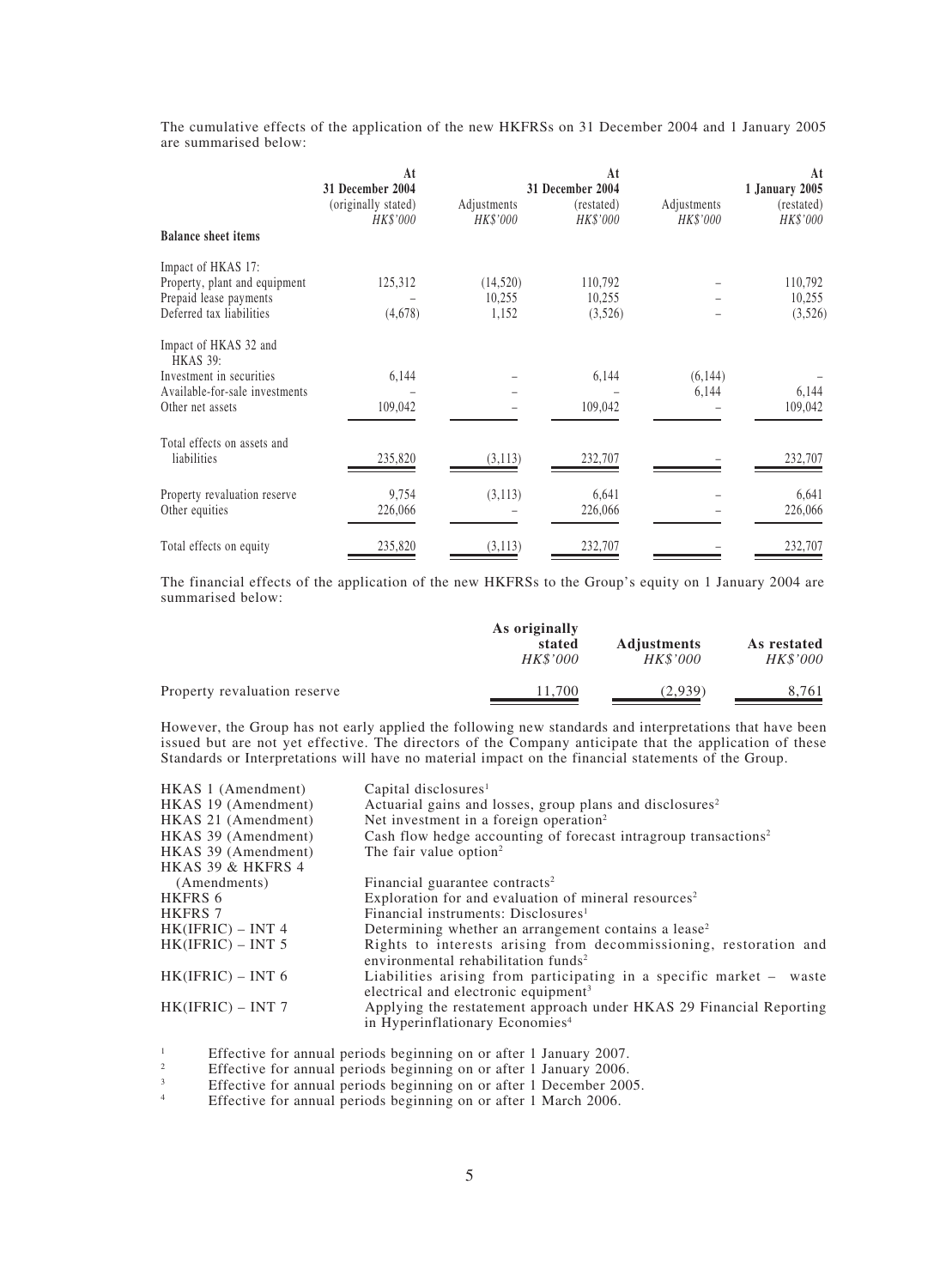The cumulative effects of the application of the new HKFRSs on 31 December 2004 and 1 January 2005 are summarised below:

|                                            | At<br>31 December 2004          |                         | At<br>31 December 2004 |                         | At<br>1 January 2005   |
|--------------------------------------------|---------------------------------|-------------------------|------------------------|-------------------------|------------------------|
|                                            | (originally stated)<br>HK\$'000 | Adjustments<br>HK\$'000 | (restated)<br>HK\$'000 | Adjustments<br>HK\$'000 | (restated)<br>HK\$'000 |
| <b>Balance sheet items</b>                 |                                 |                         |                        |                         |                        |
| Impact of HKAS 17:                         |                                 |                         |                        |                         |                        |
| Property, plant and equipment              | 125,312                         | (14,520)                | 110,792                |                         | 110,792                |
| Prepaid lease payments                     |                                 | 10,255                  | 10,255                 |                         | 10,255                 |
| Deferred tax liabilities                   | (4,678)                         | 1,152                   | (3,526)                |                         | (3,526)                |
| Impact of HKAS 32 and<br><b>HKAS 39:</b>   |                                 |                         |                        |                         |                        |
| Investment in securities                   | 6,144                           |                         | 6,144                  | (6,144)                 |                        |
| Available-for-sale investments             |                                 |                         |                        | 6,144                   | 6,144                  |
| Other net assets                           | 109,042                         |                         | 109,042                |                         | 109,042                |
|                                            |                                 |                         |                        |                         |                        |
| Total effects on assets and<br>liabilities | 235,820                         |                         |                        |                         | 232,707                |
|                                            |                                 | (3,113)                 | 232,707                |                         |                        |
| Property revaluation reserve               | 9,754                           | (3,113)                 | 6,641                  |                         | 6,641                  |
| Other equities                             | 226,066                         |                         | 226,066                |                         | 226,066                |
|                                            |                                 |                         |                        |                         |                        |
| Total effects on equity                    | 235,820                         | (3,113)                 | 232,707                |                         | 232,707                |

The financial effects of the application of the new HKFRSs to the Group's equity on 1 January 2004 are summarised below:

|                              | As originally<br>stated<br><i>HK\$'000</i> | <b>Adjustments</b><br>HK\$'000 | As restated<br><b>HK\$'000</b> |
|------------------------------|--------------------------------------------|--------------------------------|--------------------------------|
| Property revaluation reserve | 11.700                                     | (2,939)                        | 8.761                          |

However, the Group has not early applied the following new standards and interpretations that have been issued but are not yet effective. The directors of the Company anticipate that the application of these Standards or Interpretations will have no material impact on the financial statements of the Group.

| HKAS 1 (Amendment)  | Capital disclosures <sup>1</sup>                                                                                        |
|---------------------|-------------------------------------------------------------------------------------------------------------------------|
| HKAS 19 (Amendment) | Actuarial gains and losses, group plans and disclosures <sup>2</sup>                                                    |
| HKAS 21 (Amendment) | Net investment in a foreign operation <sup>2</sup>                                                                      |
| HKAS 39 (Amendment) | Cash flow hedge accounting of forecast intragroup transactions <sup>2</sup>                                             |
| HKAS 39 (Amendment) | The fair value option <sup>2</sup>                                                                                      |
| HKAS 39 & HKFRS 4   |                                                                                                                         |
| (Amendments)        | Financial guarantee contracts <sup>2</sup>                                                                              |
| HKFRS 6             | Exploration for and evaluation of mineral resources <sup>2</sup>                                                        |
| <b>HKFRS 7</b>      | Financial instruments: Disclosures <sup>1</sup>                                                                         |
| $HK(IFRIC) - INT 4$ | Determining whether an arrangement contains a lease <sup>2</sup>                                                        |
| $HK(IFRIC) - INT 5$ | Rights to interests arising from decommissioning, restoration and<br>environmental rehabilitation funds <sup>2</sup>    |
| $HK(IFRIC) - INT 6$ | Liabilities arising from participating in a specific market - waste<br>electrical and electronic equipment <sup>3</sup> |
| $HK(IFRIC) - INT 7$ | Applying the restatement approach under HKAS 29 Financial Reporting<br>in Hyperinflationary Economies <sup>4</sup>      |

<sup>1</sup> Effective for annual periods beginning on or after 1 January 2007.

<sup>2</sup> Effective for annual periods beginning on or after 1 January 2006.<br> **Effective for annual periods beginning on or after 1 December 200** 

<sup>3</sup><br>Effective for annual periods beginning on or after 1 December 2005.

Effective for annual periods beginning on or after 1 March 2006.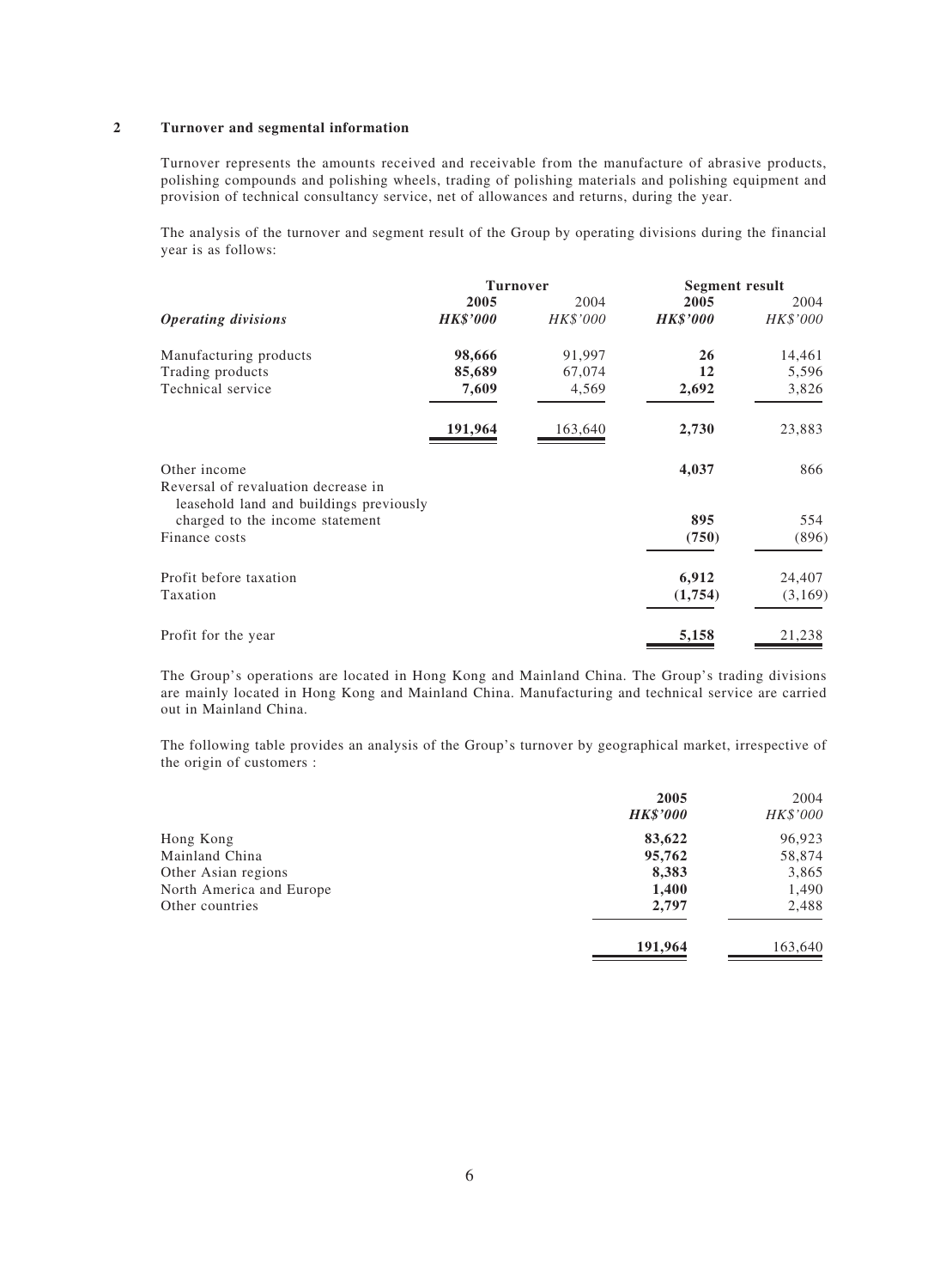#### **2 Turnover and segmental information**

Turnover represents the amounts received and receivable from the manufacture of abrasive products, polishing compounds and polishing wheels, trading of polishing materials and polishing equipment and provision of technical consultancy service, net of allowances and returns, during the year.

The analysis of the turnover and segment result of the Group by operating divisions during the financial year is as follows:

|                                                                                |                 | <b>Turnover</b><br><b>Segment result</b> |                 |          |
|--------------------------------------------------------------------------------|-----------------|------------------------------------------|-----------------|----------|
|                                                                                | 2005            | 2004                                     | 2005            | 2004     |
| <b>Operating divisions</b>                                                     | <b>HK\$'000</b> | HK\$'000                                 | <b>HK\$'000</b> | HK\$'000 |
| Manufacturing products                                                         | 98,666          | 91,997                                   | 26              | 14,461   |
| Trading products                                                               | 85,689          | 67,074                                   | 12              | 5,596    |
| Technical service                                                              | 7,609           | 4,569                                    | 2,692           | 3,826    |
|                                                                                | 191,964         | 163,640                                  | 2,730           | 23,883   |
| Other income                                                                   |                 |                                          | 4,037           | 866      |
| Reversal of revaluation decrease in<br>leasehold land and buildings previously |                 |                                          |                 |          |
| charged to the income statement                                                |                 |                                          | 895             | 554      |
| Finance costs                                                                  |                 |                                          | (750)           | (896)    |
| Profit before taxation                                                         |                 |                                          | 6,912           | 24,407   |
| Taxation                                                                       |                 |                                          | (1,754)         | (3,169)  |
| Profit for the year                                                            |                 |                                          | 5,158           | 21,238   |

The Group's operations are located in Hong Kong and Mainland China. The Group's trading divisions are mainly located in Hong Kong and Mainland China. Manufacturing and technical service are carried out in Mainland China.

The following table provides an analysis of the Group's turnover by geographical market, irrespective of the origin of customers :

|                          | 2005<br><b>HK\$'000</b> | 2004<br>HK\$'000 |
|--------------------------|-------------------------|------------------|
| Hong Kong                | 83,622                  | 96,923           |
| Mainland China           | 95,762                  | 58,874           |
| Other Asian regions      | 8,383                   | 3,865            |
| North America and Europe | 1,400                   | 1,490            |
| Other countries          | 2,797                   | 2,488            |
|                          | 191,964                 | 163,640          |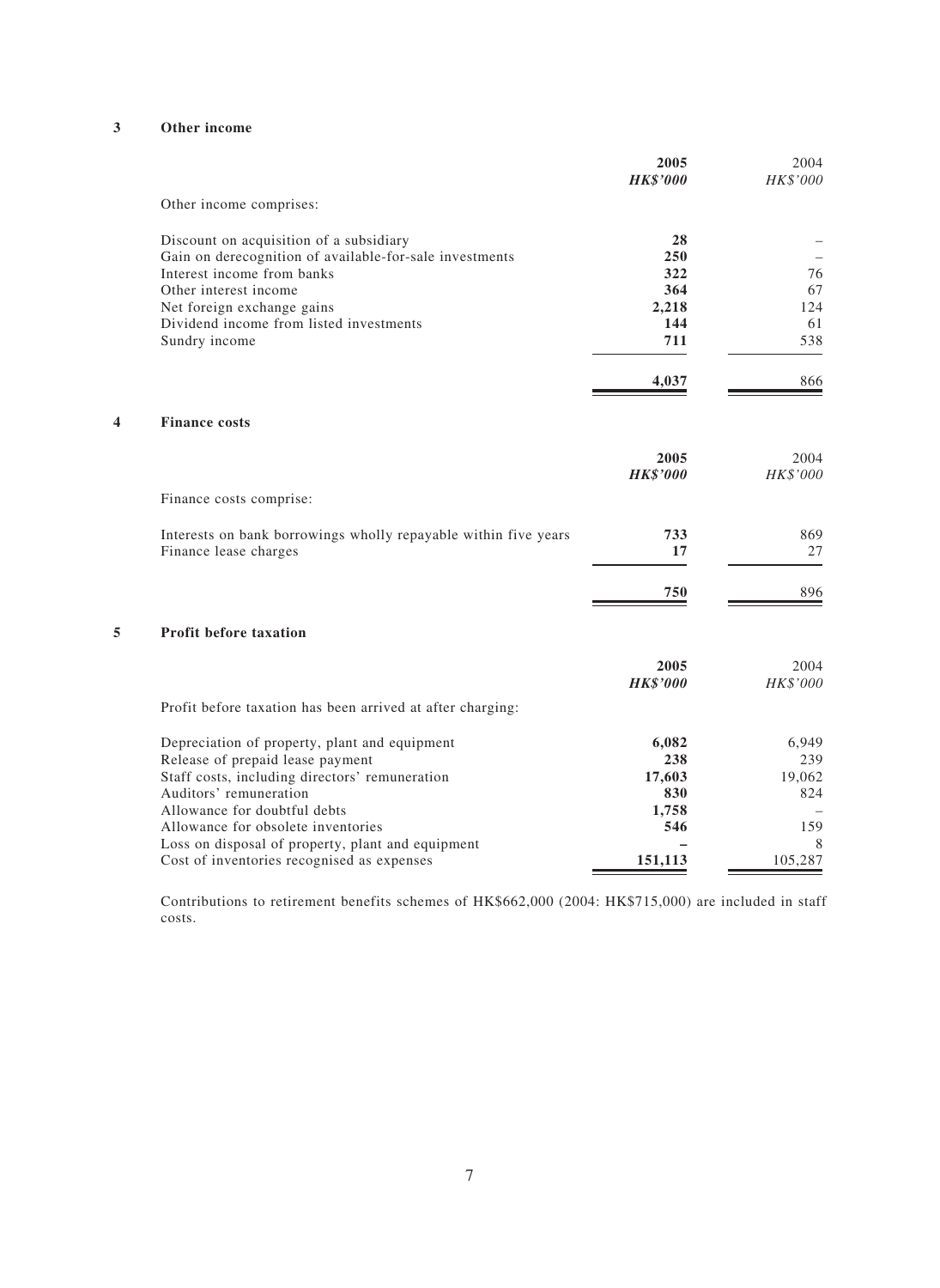### **3 Other income**

|   |                                                                 | 2005<br><b>HK\$'000</b> | 2004<br>HK\$'000 |
|---|-----------------------------------------------------------------|-------------------------|------------------|
|   | Other income comprises:                                         |                         |                  |
|   | Discount on acquisition of a subsidiary                         | 28                      |                  |
|   | Gain on derecognition of available-for-sale investments         | 250                     |                  |
|   | Interest income from banks                                      | 322                     | 76               |
|   | Other interest income                                           | 364                     | 67               |
|   | Net foreign exchange gains                                      | 2,218                   | 124              |
|   | Dividend income from listed investments                         | 144                     | 61               |
|   | Sundry income                                                   | 711                     | 538              |
|   |                                                                 | 4,037                   | 866              |
| 4 | <b>Finance costs</b>                                            |                         |                  |
|   |                                                                 | 2005                    | 2004             |
|   |                                                                 | <b>HK\$'000</b>         | HK\$'000         |
|   | Finance costs comprise:                                         |                         |                  |
|   | Interests on bank borrowings wholly repayable within five years | 733                     | 869              |
|   | Finance lease charges                                           | 17                      | 27               |
|   |                                                                 | 750                     | 896              |
| 5 | <b>Profit before taxation</b>                                   |                         |                  |
|   |                                                                 | 2005                    | 2004             |
|   |                                                                 | <b>HK\$'000</b>         | HK\$'000         |
|   | Profit before taxation has been arrived at after charging:      |                         |                  |
|   | Depreciation of property, plant and equipment                   | 6,082                   | 6,949            |
|   | Release of prepaid lease payment                                | 238                     | 239              |
|   | Staff costs, including directors' remuneration                  | 17,603                  | 19,062           |
|   | Auditors' remuneration                                          | 830                     | 824              |
|   | Allowance for doubtful debts                                    | 1,758                   |                  |
|   | Allowance for obsolete inventories                              | 546                     | 159              |
|   | Loss on disposal of property, plant and equipment               |                         | 8                |
|   | Cost of inventories recognised as expenses                      | 151,113                 | 105,287          |

Contributions to retirement benefits schemes of HK\$662,000 (2004: HK\$715,000) are included in staff costs.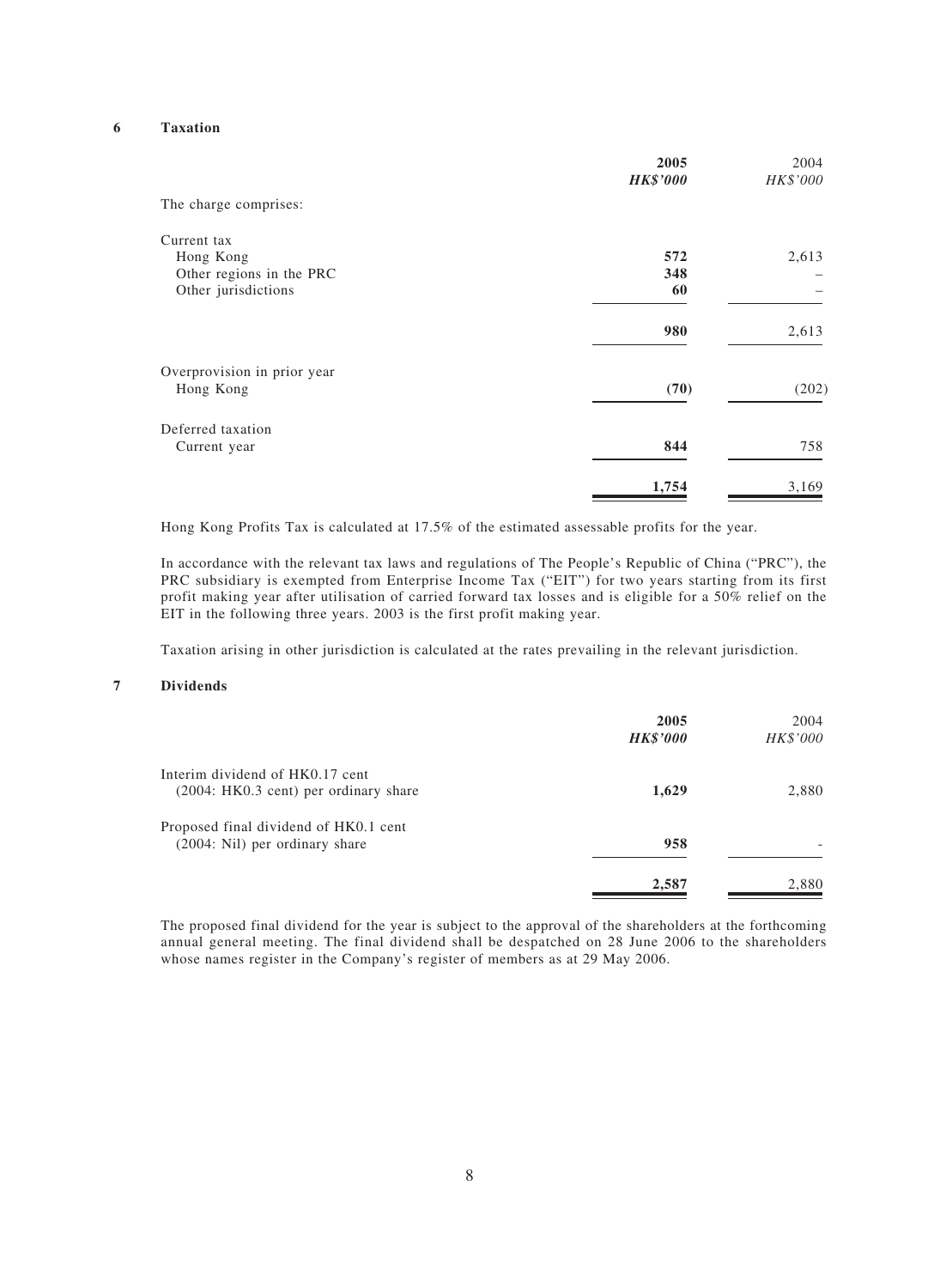### **6 Taxation**

|                                                                             | 2005<br><b>HK\$'000</b> | 2004<br>HK\$'000 |
|-----------------------------------------------------------------------------|-------------------------|------------------|
| The charge comprises:                                                       |                         |                  |
| Current tax<br>Hong Kong<br>Other regions in the PRC<br>Other jurisdictions | 572<br>348<br>60        | 2,613            |
|                                                                             | 980                     | 2,613            |
| Overprovision in prior year<br>Hong Kong                                    | (70)                    | (202)            |
| Deferred taxation<br>Current year                                           | 844                     | 758              |
|                                                                             | 1,754                   | 3,169            |

Hong Kong Profits Tax is calculated at 17.5% of the estimated assessable profits for the year.

In accordance with the relevant tax laws and regulations of The People's Republic of China ("PRC"), the PRC subsidiary is exempted from Enterprise Income Tax ("EIT") for two years starting from its first profit making year after utilisation of carried forward tax losses and is eligible for a 50% relief on the EIT in the following three years. 2003 is the first profit making year.

Taxation arising in other jurisdiction is calculated at the rates prevailing in the relevant jurisdiction.

#### **7 Dividends**

|                                                                           | 2005<br><b>HK\$'000</b> | 2004<br>HK\$'000 |
|---------------------------------------------------------------------------|-------------------------|------------------|
| Interim dividend of HK0.17 cent<br>$(2004:HK0.3 cent)$ per ordinary share | 1,629                   | 2,880            |
| Proposed final dividend of HK0.1 cent<br>(2004: Nil) per ordinary share   | 958                     |                  |
|                                                                           | 2,587                   | 2,880            |

The proposed final dividend for the year is subject to the approval of the shareholders at the forthcoming annual general meeting. The final dividend shall be despatched on 28 June 2006 to the shareholders whose names register in the Company's register of members as at 29 May 2006.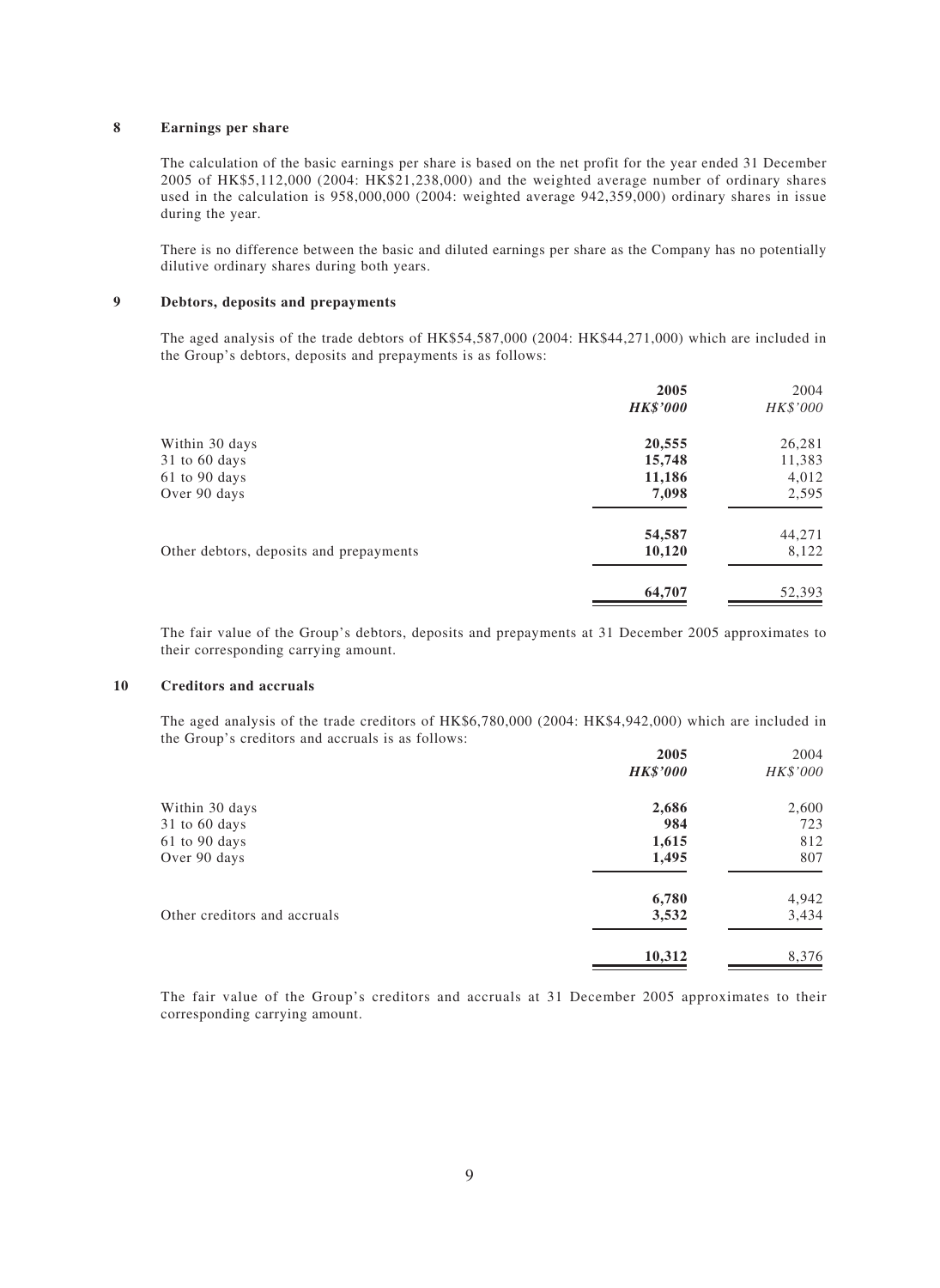#### **8 Earnings per share**

The calculation of the basic earnings per share is based on the net profit for the year ended 31 December 2005 of HK\$5,112,000 (2004: HK\$21,238,000) and the weighted average number of ordinary shares used in the calculation is 958,000,000 (2004: weighted average 942,359,000) ordinary shares in issue during the year.

There is no difference between the basic and diluted earnings per share as the Company has no potentially dilutive ordinary shares during both years.

#### **9 Debtors, deposits and prepayments**

The aged analysis of the trade debtors of HK\$54,587,000 (2004: HK\$44,271,000) which are included in the Group's debtors, deposits and prepayments is as follows:

|                                         | 2005            | 2004     |
|-----------------------------------------|-----------------|----------|
|                                         | <b>HK\$'000</b> | HK\$'000 |
| Within 30 days                          | 20,555          | 26,281   |
| $31$ to 60 days                         | 15,748          | 11,383   |
| 61 to 90 days                           | 11,186          | 4,012    |
| Over 90 days                            | 7,098           | 2,595    |
|                                         | 54,587          | 44,271   |
| Other debtors, deposits and prepayments | 10,120          | 8,122    |
|                                         | 64,707          | 52,393   |

The fair value of the Group's debtors, deposits and prepayments at 31 December 2005 approximates to their corresponding carrying amount.

#### **10 Creditors and accruals**

The aged analysis of the trade creditors of HK\$6,780,000 (2004: HK\$4,942,000) which are included in the Group's creditors and accruals is as follows:

| 2005            | 2004     |
|-----------------|----------|
| <b>HK\$'000</b> | HK\$'000 |
| 2,686           | 2,600    |
| 984             | 723      |
| 1,615           | 812      |
| 1,495           | 807      |
| 6,780           | 4,942    |
| 3,532           | 3,434    |
| 10,312          | 8,376    |
|                 |          |

The fair value of the Group's creditors and accruals at 31 December 2005 approximates to their corresponding carrying amount.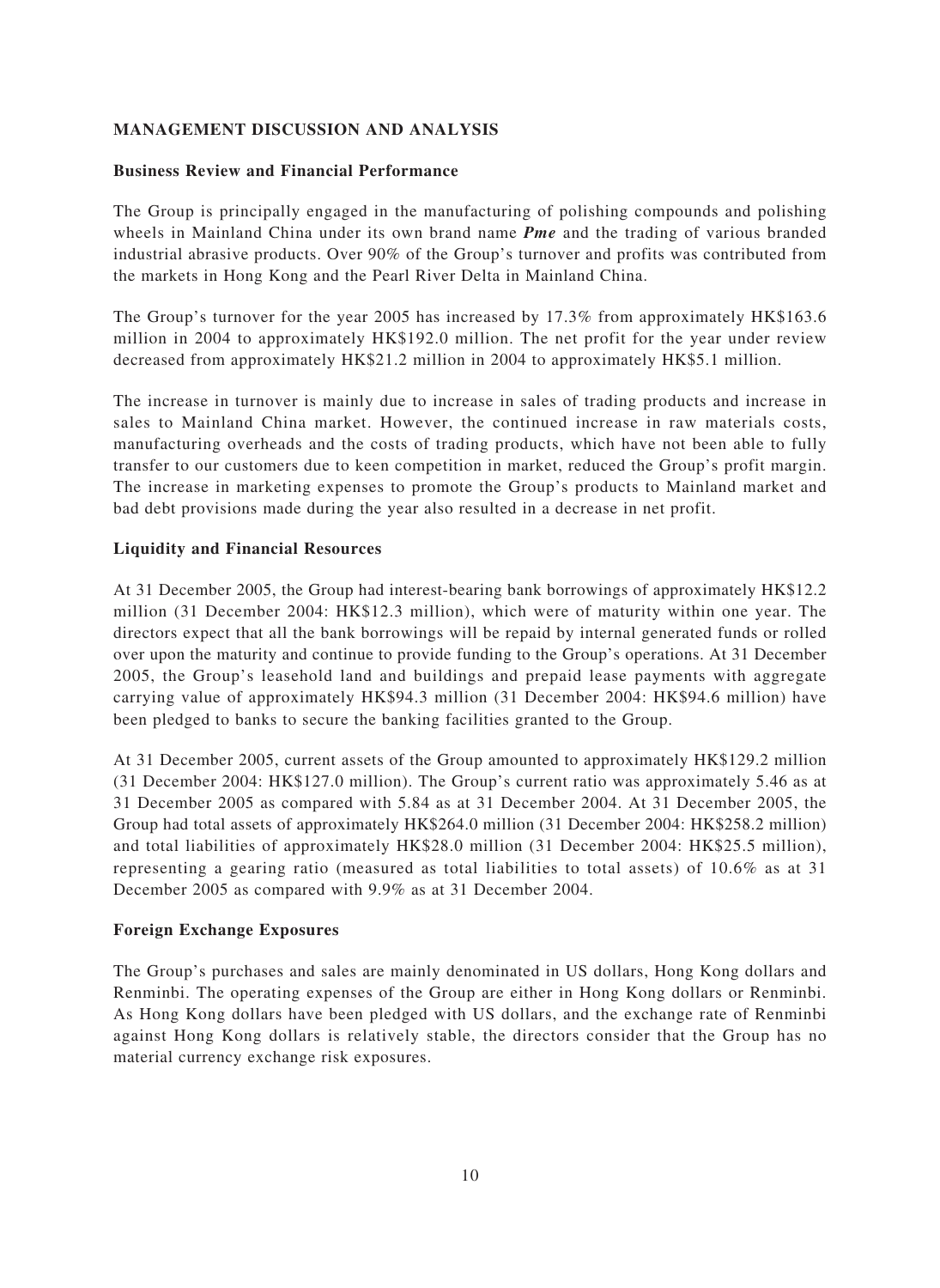# **MANAGEMENT DISCUSSION AND ANALYSIS**

### **Business Review and Financial Performance**

The Group is principally engaged in the manufacturing of polishing compounds and polishing wheels in Mainland China under its own brand name *Pme* and the trading of various branded industrial abrasive products. Over 90% of the Group's turnover and profits was contributed from the markets in Hong Kong and the Pearl River Delta in Mainland China.

The Group's turnover for the year 2005 has increased by 17.3% from approximately HK\$163.6 million in 2004 to approximately HK\$192.0 million. The net profit for the year under review decreased from approximately HK\$21.2 million in 2004 to approximately HK\$5.1 million.

The increase in turnover is mainly due to increase in sales of trading products and increase in sales to Mainland China market. However, the continued increase in raw materials costs, manufacturing overheads and the costs of trading products, which have not been able to fully transfer to our customers due to keen competition in market, reduced the Group's profit margin. The increase in marketing expenses to promote the Group's products to Mainland market and bad debt provisions made during the year also resulted in a decrease in net profit.

### **Liquidity and Financial Resources**

At 31 December 2005, the Group had interest-bearing bank borrowings of approximately HK\$12.2 million (31 December 2004: HK\$12.3 million), which were of maturity within one year. The directors expect that all the bank borrowings will be repaid by internal generated funds or rolled over upon the maturity and continue to provide funding to the Group's operations. At 31 December 2005, the Group's leasehold land and buildings and prepaid lease payments with aggregate carrying value of approximately HK\$94.3 million (31 December 2004: HK\$94.6 million) have been pledged to banks to secure the banking facilities granted to the Group.

At 31 December 2005, current assets of the Group amounted to approximately HK\$129.2 million (31 December 2004: HK\$127.0 million). The Group's current ratio was approximately 5.46 as at 31 December 2005 as compared with 5.84 as at 31 December 2004. At 31 December 2005, the Group had total assets of approximately HK\$264.0 million (31 December 2004: HK\$258.2 million) and total liabilities of approximately HK\$28.0 million (31 December 2004: HK\$25.5 million), representing a gearing ratio (measured as total liabilities to total assets) of 10.6% as at 31 December 2005 as compared with 9.9% as at 31 December 2004.

### **Foreign Exchange Exposures**

The Group's purchases and sales are mainly denominated in US dollars, Hong Kong dollars and Renminbi. The operating expenses of the Group are either in Hong Kong dollars or Renminbi. As Hong Kong dollars have been pledged with US dollars, and the exchange rate of Renminbi against Hong Kong dollars is relatively stable, the directors consider that the Group has no material currency exchange risk exposures.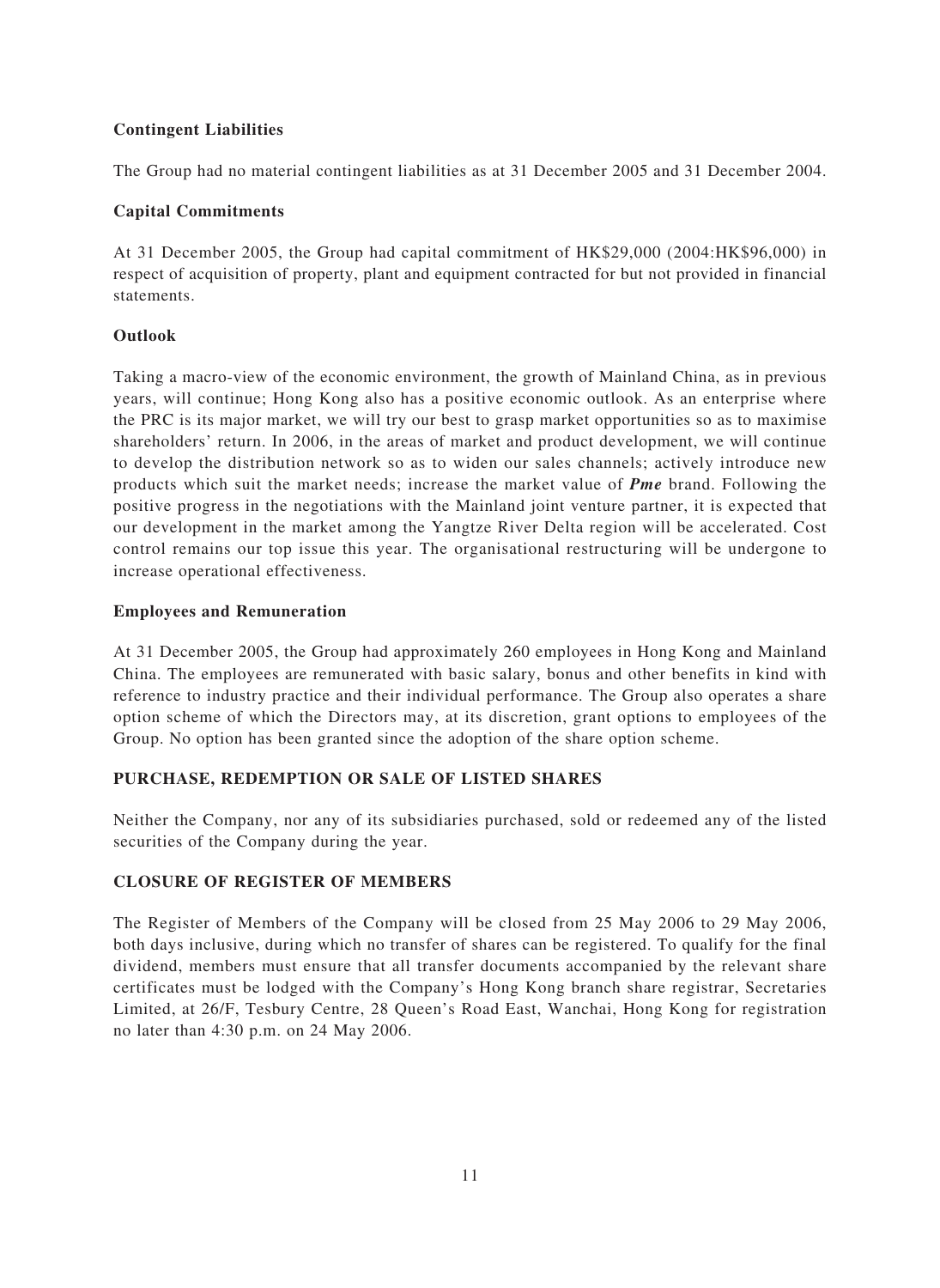# **Contingent Liabilities**

The Group had no material contingent liabilities as at 31 December 2005 and 31 December 2004.

### **Capital Commitments**

At 31 December 2005, the Group had capital commitment of HK\$29,000 (2004:HK\$96,000) in respect of acquisition of property, plant and equipment contracted for but not provided in financial statements.

### **Outlook**

Taking a macro-view of the economic environment, the growth of Mainland China, as in previous years, will continue; Hong Kong also has a positive economic outlook. As an enterprise where the PRC is its major market, we will try our best to grasp market opportunities so as to maximise shareholders' return. In 2006, in the areas of market and product development, we will continue to develop the distribution network so as to widen our sales channels; actively introduce new products which suit the market needs; increase the market value of *Pme* brand. Following the positive progress in the negotiations with the Mainland joint venture partner, it is expected that our development in the market among the Yangtze River Delta region will be accelerated. Cost control remains our top issue this year. The organisational restructuring will be undergone to increase operational effectiveness.

### **Employees and Remuneration**

At 31 December 2005, the Group had approximately 260 employees in Hong Kong and Mainland China. The employees are remunerated with basic salary, bonus and other benefits in kind with reference to industry practice and their individual performance. The Group also operates a share option scheme of which the Directors may, at its discretion, grant options to employees of the Group. No option has been granted since the adoption of the share option scheme.

### **PURCHASE, REDEMPTION OR SALE OF LISTED SHARES**

Neither the Company, nor any of its subsidiaries purchased, sold or redeemed any of the listed securities of the Company during the year.

# **CLOSURE OF REGISTER OF MEMBERS**

The Register of Members of the Company will be closed from 25 May 2006 to 29 May 2006, both days inclusive, during which no transfer of shares can be registered. To qualify for the final dividend, members must ensure that all transfer documents accompanied by the relevant share certificates must be lodged with the Company's Hong Kong branch share registrar, Secretaries Limited, at 26/F, Tesbury Centre, 28 Queen's Road East, Wanchai, Hong Kong for registration no later than 4:30 p.m. on 24 May 2006.